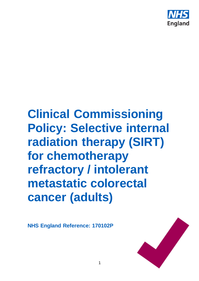

# **Clinical Commissioning Policy: Selective internal radiation therapy (SIRT) for chemotherapy refractory / intolerant metastatic colorectal cancer (adults)**

**NHS England Reference: 170102P**

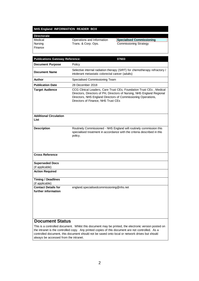#### **NHS England INFORMATION READER BOX**

| <b>Directorate</b> |                            |                               |
|--------------------|----------------------------|-------------------------------|
| Medical            | Operations and Information | Specialised Commissioning     |
| Nursing            | Trans. & Corp. Ops.        | <b>Commissioning Strategy</b> |
| Finance            |                            |                               |
|                    |                            |                               |

| <b>Publications Gateway Reference:</b>            | 07603                                                                                                                                                                                                                                                 |  |  |
|---------------------------------------------------|-------------------------------------------------------------------------------------------------------------------------------------------------------------------------------------------------------------------------------------------------------|--|--|
| <b>Document Purpose</b>                           | Policy                                                                                                                                                                                                                                                |  |  |
| <b>Document Name</b>                              | Selective internal radiation therapy (SIRT) for chemotherapy refractory /<br>intolerant metastatic colorectal cancer (adults)                                                                                                                         |  |  |
| <b>Author</b>                                     | Specialised Commissioning Team                                                                                                                                                                                                                        |  |  |
| <b>Publication Date</b>                           | 28 December 2018                                                                                                                                                                                                                                      |  |  |
| <b>Target Audience</b>                            | CCG Clinical Leaders, Care Trust CEs, Foundation Trust CEs, Medical<br>Directors, Directors of PH, Directors of Nursing, NHS England Regional<br>Directors, NHS England Directors of Commissioning Operations,<br>Directors of Finance, NHS Trust CEs |  |  |
| <b>Additional Circulation</b><br>List             |                                                                                                                                                                                                                                                       |  |  |
| <b>Description</b>                                | Routinely Commissioned - NHS England will routinely commission this<br>specialised treatment in accordance with the criteria described in this<br>policy.                                                                                             |  |  |
| <b>Cross Reference</b>                            |                                                                                                                                                                                                                                                       |  |  |
| <b>Superseded Docs</b><br>(if applicable)         |                                                                                                                                                                                                                                                       |  |  |
| <b>Action Required</b>                            |                                                                                                                                                                                                                                                       |  |  |
| <b>Timing / Deadlines</b><br>(if applicable)      |                                                                                                                                                                                                                                                       |  |  |
| <b>Contact Details for</b><br>further information | england.specialisedcommissioning@nhs.net                                                                                                                                                                                                              |  |  |
| $$ $C1$                                           |                                                                                                                                                                                                                                                       |  |  |

#### **Document Status**

This is a controlled document. Whilst this document may be printed, the electronic version posted on the intranet is the controlled copy. Any printed copies of this document are not controlled. As a controlled document, this document should not be saved onto local or network drives but should always be accessed from the intranet.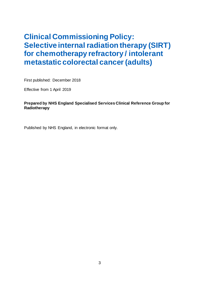## **Clinical Commissioning Policy: Selective internal radiation therapy (SIRT) for chemotherapy refractory / intolerant metastatic colorectal cancer (adults)**

First published: December 2018

Effective from 1 April 2019

#### **Prepared by NHS England Specialised Services Clinical Reference Group for Radiotherapy**

Published by NHS England, in electronic format only.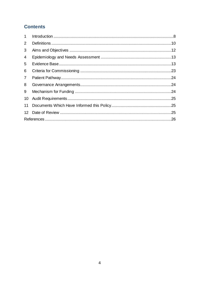## **Contents**

| 1 <sup>1</sup> |  |  |  |  |
|----------------|--|--|--|--|
| $\overline{2}$ |  |  |  |  |
| 3              |  |  |  |  |
| 4              |  |  |  |  |
| 5              |  |  |  |  |
| 6              |  |  |  |  |
| $\overline{7}$ |  |  |  |  |
| 8              |  |  |  |  |
| 9              |  |  |  |  |
| 10             |  |  |  |  |
| 11             |  |  |  |  |
| 12             |  |  |  |  |
|                |  |  |  |  |
|                |  |  |  |  |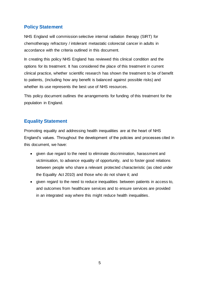## **Policy Statement**

NHS England will commission selective internal radiation therapy (SIRT) for chemotherapy refractory / intolerant metastatic colorectal cancer in adults in accordance with the criteria outlined in this document.

In creating this policy NHS England has reviewed this clinical condition and the options for its treatment. It has considered the place of this treatment in current clinical practice, whether scientific research has shown the treatment to be of benefit to patients, (including how any benefit is balanced against possible risks) and whether its use represents the best use of NHS resources.

This policy document outlines the arrangements for funding of this treatment for the population in England.

## **Equality Statement**

Promoting equality and addressing health inequalities are at the heart of NHS England's values. Throughout the development of the policies and processes cited in this document, we have:

- given due regard to the need to eliminate discrimination, harassment and victimisation, to advance equality of opportunity, and to foster good relations between people who share a relevant protected characteristic (as cited under the Equality Act 2010) and those who do not share it; and
- given regard to the need to reduce inequalities between patients in access to, and outcomes from healthcare services and to ensure services are provided in an integrated way where this might reduce health inequalities.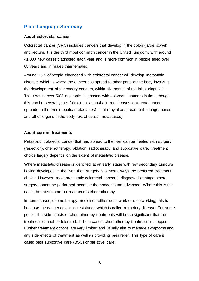## **Plain Language Summary**

#### **About colorectal cancer**

Colorectal cancer (CRC) includes cancers that develop in the colon (large bowel) and rectum. It is the third most common cancer in the United Kingdom, with around 41,000 new cases diagnosed each year and is more common in people aged over 65 years and in males than females.

Around 25% of people diagnosed with colorectal cancer will develop metastatic disease, which is where the cancer has spread to other parts of the body involving the development of secondary cancers, within six months of the initial diagnosis. This rises to over 50% of people diagnosed with colorectal cancers in time, though this can be several years following diagnosis. In most cases, colorectal cancer spreads to the liver (hepatic metastases) but it may also spread to the lungs, bones and other organs in the body (extrahepatic metastases).

#### **About current treatments**

Metastatic colorectal cancer that has spread to the liver can be treated with surgery (resection), chemotherapy, ablation, radiotherapy and supportive care. Treatment choice largely depends on the extent of metastatic disease.

Where metastatic disease is identified at an early stage with few secondary tumours having developed in the liver, then surgery is almost always the preferred treatment choice. However, most metastatic colorectal cancer is diagnosed at stage where surgery cannot be performed because the cancer is too advanced. Where this is the case, the most common treatment is chemotherapy.

In some cases, chemotherapy medicines either don't work or stop working, this is because the cancer develops resistance which is called refractory disease. For some people the side effects of chemotherapy treatments will be so significant that the treatment cannot be tolerated. In both cases, chemotherapy treatment is stopped. Further treatment options are very limited and usually aim to manage symptoms and any side effects of treatment as well as providing pain relief. This type of care is called best supportive care (BSC) or palliative care.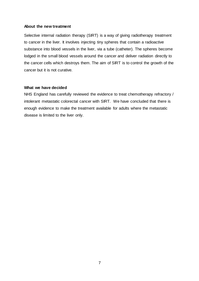#### **About the new treatment**

Selective internal radiation therapy (SIRT) is a way of giving radiotherapy treatment to cancer in the liver. It involves injecting tiny spheres that contain a radioactive substance into blood vessels in the liver, via a tube (catheter). The spheres become lodged in the small blood vessels around the cancer and deliver radiation directly to the cancer cells which destroys them. The aim of SIRT is to control the growth of the cancer but it is not curative.

#### **What we have decided**

NHS England has carefully reviewed the evidence to treat chemotherapy refractory / intolerant metastatic colorectal cancer with SIRT. We have concluded that there is enough evidence to make the treatment available for adults where the metastatic disease is limited to the liver only.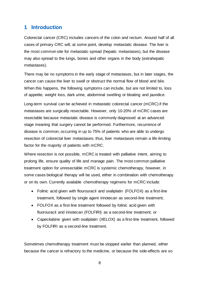## <span id="page-7-0"></span>**1 Introduction**

Colorectal cancer (CRC) includes cancers of the colon and rectum. Around half of all cases of primary CRC will, at some point, develop metastatic disease. The liver is the most common site for metastatic spread (hepatic metastases), but the disease may also spread to the lungs, bones and other organs in the body (extrahepatic metastases).

There may be no symptoms in the early stage of metastases, but in later stages, the cancer can cause the liver to swell or obstruct the normal flow of blood and bile. When this happens, the following symptoms can include, but are not limited to, loss of appetite, weight loss, dark urine, abdominal swelling or bloating and jaundice.

Long-term survival can be achieved in metastatic colorectal cancer (mCRC) if the metastases are surgically resectable. However, only 10-20% of mCRC cases are resectable because metastatic disease is commonly diagnosed at an advanced stage meaning that surgery cannot be performed. Furthermore, recurrence of disease is common, occurring in up to 75% of patients who are able to undergo resection of colorectal liver metastases; thus, liver metastases remain a life-limiting factor for the majority of patients with mCRC.

Where resection is not possible, mCRC is treated with palliative intent, aiming to prolong life, ensure quality of life and manage pain. The most common palliative treatment option for unresectable mCRC is systemic chemotherapy, however, in some cases biological therapy will be used, either in combination with chemotherapy or on its own. Currently available chemotherapy regimens for mCRC include:

- Folinic acid given with flourouracil and oxaliplatin (FOLFOX) as a first-line treatment, followed by single agent irinotecan as second-line treatment;
- FOLFOX as a first-line treatment followed by folinic acid given with fluorouracil and irinotecan (FOLFIRI) as a second-line treatment; or
- Capecitabine given with oxaliplatin (XELOX) as a first-line treatment, followed by FOLFIRI as a second-line treatment.

Sometimes chemotherapy treatment must be stopped earlier than planned, either because the cancer is refractory to the medicine, or because the side-effects are so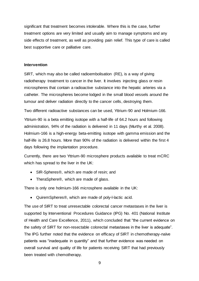significant that treatment becomes intolerable. Where this is the case, further treatment options are very limited and usually aim to manage symptoms and any side effects of treatment, as well as providing pain relief. This type of care is called best supportive care or palliative care.

#### **Intervention**

SIRT, which may also be called radioembolisation (RE), is a way of giving radiotherapy treatment to cancer in the liver. It involves injecting glass or resin microspheres that contain a radioactive substance into the hepatic arteries via a catheter. The microspheres become lodged in the small blood vessels around the tumour and deliver radiation directly to the cancer cells, destroying them.

Two different radioactive substances can be used, Yttrium-90 and Holmium-166. Yttrium-90 is a beta emitting isotope with a half-life of 64.2 hours and following administration, 94% of the radiation is delivered in 11 days (Murthy et al. 2008). Holmium-166 is a high-energy beta-emitting isotope with gamma emission and the half-life is 26.8 hours. More than 90% of the radiation is delivered within the first 4 days following the implantation procedure.

Currently, there are two Yttrium-90 microsphere products available to treat mCRC which has spread to the liver in the UK:

- SIR-Spheres<sup>®</sup>, which are made of resin; and
- TheraSphere®, which are made of glass.

There is only one holmium-166 microsphere available in the UK:

• QuiremSpheres®, which are made of poly-l-lactic acid.

The use of SIRT to treat unresectable colorectal cancer metastases in the liver is supported by Interventional Procedures Guidance (IPG) No. 401 (National Institute of Health and Care Excellence, 2011), which concluded that "the current evidence on the safety of SIRT for non-resectable colorectal metastases in the liver is adequate". The IPG further noted that the evidence on efficacy of SIRT in chemotherapy-naïve patients was "inadequate in quantity" and that further evidence was needed on overall survival and quality of life for patients receiving SIRT that had previously been treated with chemotherapy.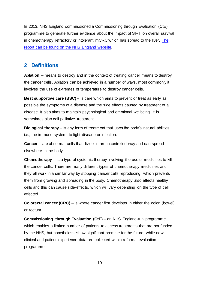In 2013, NHS England commissioned a Commissioning through Evaluation (CtE) programme to generate further evidence about the impact of SIRT on overall survival in chemotherapy refractory or intolerant mCRC which has spread to the liver. [The](https://www.england.nhs.uk/publication/independent-evaluation-of-the-selective-internal-radiation-therapy-commissioning-through-evaluation-scheme/)  [report can be found on the NHS England website.](https://www.england.nhs.uk/publication/independent-evaluation-of-the-selective-internal-radiation-therapy-commissioning-through-evaluation-scheme/)

## <span id="page-9-0"></span>**2 Definitions**

**Ablation** – means to destroy and in the context of treating cancer means to destroy the cancer cells. Ablation can be achieved in a number of ways, most commonly it involves the use of extremes of temperature to destroy cancer cells.

**Best supportive care (BSC)** – is care which aims to prevent or treat as early as possible the symptoms of a disease and the side effects caused by treatment of a disease. It also aims to maintain psychological and emotional wellbeing. It is sometimes also call palliative treatment.

**Biological therapy** – is any form of treatment that uses the body's natural abilities, i.e., the immune system, to fight disease or infection.

**Cancer** – are abnormal cells that divide in an uncontrolled way and can spread elsewhere in the body.

**Chemotherapy** – is a type of systemic therapy involving the use of medicines to kill the cancer cells. There are many different types of chemotherapy medicines and they all work in a similar way by stopping cancer cells reproducing, which prevents them from growing and spreading in the body. Chemotherapy also affects healthy cells and this can cause side-effects, which will vary depending on the type of cell affected.

**Colorectal cancer (CRC)** – is where cancer first develops in either the colon (bowel) or rectum.

**Commissioning through Evaluation (CtE)** – an NHS England-run programme which enables a limited number of patients to access treatments that are not funded by the NHS, but nonetheless show significant promise for the future, while new clinical and patient experience data are collected within a formal evaluation programme.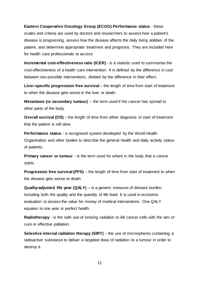#### **Eastern Cooperative Oncology Group (ECOG) Performance status** - these

scales and criteria are used by doctors and researchers to assess how a patient's disease is progressing, assess how the disease affects the daily living abilities of the patient, and determine appropriate treatment and prognosis. They are included here for health care professionals to access

**Incremental cost-effectiveness ratio (ICER)** - is a statistic used to summarise the cost-effectiveness of a health care intervention. It is defined by the difference in cost between two possible interventions, divided by the difference in their effect.

**Liver-specific progression free survival** – the length of time from start of treatment to when the disease gets worse in the liver or death.

**Metastasis (or secondary tumour)** – the term used if the cancer has spread to other parts of the body.

**Overall survival (OS)** – the length of time from either diagnosis or start of treatment that the patient is still alive.

**Performance status** - a recognised system developed by the World Health Organisation and other bodies to describe the general health and daily activity status of patients.

**Primary cancer or tumour** - is the term used for where in the body that a cancer starts.

**Progression free survival (PFS)** – the length of time from start of treatment to when the disease gets worse or death.

**Quality-adjusted life year (QALY)** – is a generic measure of disease burden, including both the quality and the quantity of life lived. It is used in economic evaluation to assess the value for money of medical interventions. One QALY equates to one year in perfect health.

**Radiotherapy** - is the safe use of ionising radiation to kill cancer cells with the aim of cure or effective palliation.

**Selective internal radiation therapy (SIRT)** – the use of microspheres containing a radioactive substance to deliver a targeted dose of radiation to a tumour in order to destroy it.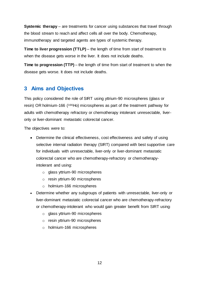**Systemic therapy** – are treatments for cancer using substances that travel through the blood stream to reach and affect cells all over the body. Chemotherapy, immunotherapy and targeted agents are types of systemic therapy.

**Time to liver progression (TTLP)** – the length of time from start of treatment to when the disease gets worse in the liver. It does not include deaths.

**Time to progression (TTP)** – the length of time from start of treatment to when the disease gets worse. It does not include deaths.

## <span id="page-11-0"></span>**3 Aims and Objectives**

This policy considered the role of SIRT using yttrium-90 microspheres (glass or resin) OR holmium-166 (166Ho) microspheres as part of the treatment pathway for adults with chemotherapy refractory or chemotherapy intolerant unresectable, liveronly or liver-dominant metastatic colorectal cancer.

The objectives were to:

- Determine the clinical effectiveness, cost effectiveness and safety of using selective internal radiation therapy (SIRT) compared with best supportive care for individuals with unresectable, liver-only or liver-dominant metastatic colorectal cancer who are chemotherapy-refractory or chemotherapyintolerant and using:
	- o glass yttrium-90 microspheres
	- o resin yttrium-90 microspheres
	- o holmium-166 microspheres
- Determine whether any subgroups of patients with unresectable, liver-only or liver-dominant metastatic colorectal cancer who are chemotherapy-refractory or chemotherapy-intolerant who would gain greater benefit from SIRT using:
	- o glass yttrium-90 microspheres
	- o resin yttrium-90 microspheres
	- o holmium-166 microspheres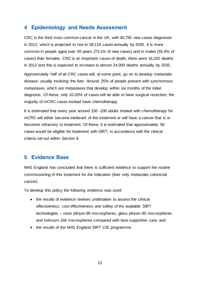## <span id="page-12-0"></span>**4 Epidemiology and Needs Assessment**

CRC is the third most common cancer in the UK, with 40,755 new cases diagnosed in 2012, which is projected to rise to 58,119 cases annually by 2035. It is more common in people aged over 65 years (73.1% of new cases) and in males (55.4% of cases) than females. CRC is an important cause of death; there were 16,202 deaths in 2012 and this is expected to increase to almost 24,000 deaths annually by 2035.

Approximately half of all CRC cases will, at some point, go on to develop metastatic disease, usually involving the liver. Around 25% of people present with synchronous metastases, which are metastases that develop within six months of the initial diagnosis. Of these, only 10-20% of cases will be able to have surgical resection; the majority of mCRC cases instead have chemotherapy.

It is estimated that every year around 150 -200 adults treated with chemotherapy for mCRC will either become intolerant of the treatment or will have a cancer that is or becomes refractory to treatment. Of these, it is estimated that approximately 50 cases would be eligible for treatment with SIRT, in accordance with the clinical criteria set out within Section 8.

## <span id="page-12-1"></span>**5 Evidence Base**

NHS England has concluded that there is sufficient evidence to support the routine commissioning of this treatment for the indication (liver only metastatic colorectal cancer).

To develop this policy the following evidence was used:

- the results of evidence reviews undertaken to assess the clinical effectiveness, cost effectiveness and safety of the available SIRT technologies – resin yttrium-90 microspheres, glass yttrium-90 microspheres and holmium-166 microspheres compared with best supportive care; and
- the results of the NHS England SIRT CtE programme.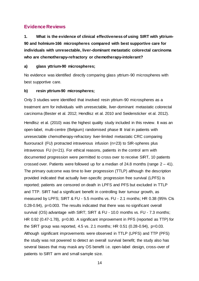### **Evidence Reviews**

**1. What is the evidence of clinical effectiveness of using SIRT with yttrium-90 and holmium-166 microspheres compared with best supportive care for individuals with unresectable, liver-dominant metastatic colorectal carcinoma who are chemotherapy-refractory or chemotherapy-intolerant?**

#### **a) glass yttrium-90 microspheres;**

No evidence was identified directly comparing glass yttrium-90 microspheres with best supportive care.

#### **b) resin yttrium-90 microspheres;**

Only 3 studies were identified that involved resin yttrium-90 microspheres as a treatment arm for individuals with unresectable, liver-dominant metastatic colorectal carcinoma (Bester et al. 2012; Hendlisz et al. 2010 and Seidensticker et al. 2012).

Hendlisz et al. (2010) was the highest quality study included in this review. It was an open-label, multi-centre (Belgium) randomised phase III trial in patients with unresectable chemotherapy-refractory liver-limited metastatic CRC comparing fluorouracil (FU) protracted intravenous infusion (n=23) to SIR-spheres plus intravenous FU (n=21). For ethical reasons, patients in the control arm with documented progression were permitted to cross over to receive SIRT, 10 patients crossed over. Patients were followed up for a median of 24.8 months (range  $2 - 41$ ). The primary outcome was time to liver progression (TTLP) although the description provided indicated that actually liver-specific progression free survival (LPFS) is reported; patients are censored on death in LPFS and PFS but excluded in TTLP and TTP. SIRT had a significant benefit in controlling liver tumour growth, as measured by LPFS; SIRT & FU - 5.5 months vs. FU - 2.1 months; HR 0.38 (95% CIs 0.28-0.94), p=0.003. The results indicated that there was no significant overall survival (OS) advantage with SIRT; SIRT & FU - 10.0 months vs. FU - 7.3 months; HR 0.92 (0.47-1.78), p=0.80. A significant improvement in PFS (reported as TTP) for the SIRT group was reported, 4.5 vs. 2.1 months; HR 0.51 (0.28-0.94), p=0.03. Although significant improvements were observed in TTLP (LPFS) and TTP (PFS) the study was not powered to detect an overall survival benefit; the study also has several biases that may mask any OS benefit i.e. open-label design, cross-over of patients to SIRT arm and small sample size.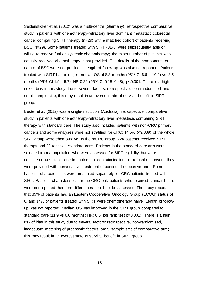Seidensticker et al. (2012) was a multi-centre (Germany), retrospective comparative study in patients with chemotherapy-refractory liver dominant metastatic colorectal cancer comparing SIRT therapy (n=29) with a matched cohort of patients receiving BSC (n=29). Some patients treated with SIRT (31%) were subsequently able or willing to receive further systemic chemotherapy; the exact number of patients who actually received chemotherapy is not provided. The details of the components or nature of BSC were not provided. Length of follow-up was also not reported. Patients treated with SIRT had a longer median OS of 8.3 months  $(95\%$  CI 6.6 - 10.2) vs. 3.5 months (95% CI 1.9 – 5.7); HR 0.26 (95% CI 0.15–0.48); p<0.001. There is a high risk of bias in this study due to several factors: retrospective, non-randomised and small sample size; this may result in an overestimate of survival benefit in SIRT group.

Bester et al. (2012) was a single-institution (Australia), retrospective comparative study in patients with chemotherapy-refractory liver metastasis comparing SIRT therapy with standard care. The study also included patients with non-CRC primary cancers and some analyses were not stratified for CRC; 14.5% (49/339) of the whole SIRT group were chemo-naive. In the mCRC group, 224 patients received SIRT therapy and 29 received standard care. Patients in the standard care arm were selected from a population who were assessed for SIRT eligibility but were considered unsuitable due to anatomical contraindications or refusal of consent; they were provided with conservative treatment of continued supportive care. Some baseline characteristics were presented separately for CRC patients treated with SIRT. Baseline characteristics for the CRC-only patients who received standard care were not reported therefore differences could not be assessed. The study reports that 85% of patients had an Eastern Cooperative Oncology Group (ECOG) status of 0, and 14% of patients treated with SIRT were chemotherapy naive. Length of followup was not reported. Median OS was improved in the SIRT group compared to standard care (11.9 vs 6.6 months; HR: 0.5, log rank test p=0.001). There is a high risk of bias in this study due to several factors: retrospective, non-randomised, inadequate matching of prognostic factors, small sample size of comparative arm; this may result in an overestimate of survival benefit in SIRT group.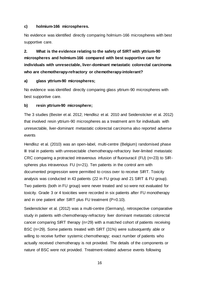#### **c) holmium-166 microspheres.**

No evidence was identified directly comparing holmium-166 microspheres with best supportive care.

**2. What is the evidence relating to the safety of SIRT with yttrium-90 microspheres and holmium-166 compared with best supportive care for individuals with unresectable, liver-dominant metastatic colorectal carcinoma who are chemotherapy-refractory or chemotherapy-intolerant?**

#### **a) glass yttrium-90 microspheres;**

No evidence was identified directly comparing glass yttrium-90 microspheres with best supportive care.

#### **b) resin yttrium-90 microsphere;**

The 3 studies (Bester et al. 2012; Hendlisz et al. 2010 and Seidensticker et al. 2012) that involved resin yttrium-90 microspheres as a treatment arm for individuals with unresectable, liver-dominant metastatic colorectal carcinoma also reported adverse events

Hendlisz et al. (2010) was an open-label, multi-centre (Belgium) randomised phase III trial in patients with unresectable chemotherapy-refractory liver-limited metastatic CRC comparing a protracted intravenous infusion of fluorouracil (FU) (n=23) to SIRspheres plus intravenous FU (n=21). Ten patients in the control arm with documented progression were permitted to cross over to receive SIRT. Toxicity analysis was conducted in 43 patients (22 in FU group and 21 SIRT & FU group). Two patients (both in FU group) were never treated and so were not evaluated for toxicity. Grade 3 or 4 toxicities were recorded in six patients after FU monotherapy and in one patient after SIRT plus FU treatment (P=0.10).

Seidensticker et al. (2012) was a multi-centre (Germany), retrospective comparative study in patients with chemotherapy-refractory liver dominant metastatic colorectal cancer comparing SIRT therapy (n=29) with a matched cohort of patients receiving BSC (n=29). Some patients treated with SIRT (31%) were subsequently able or willing to receive further systemic chemotherapy; exact number of patients who actually received chemotherapy is not provided. The details of the components or nature of BSC were not provided. Treatment-related adverse events following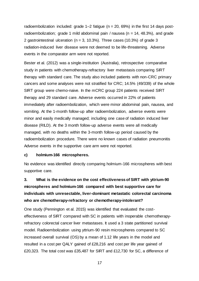radioembolization included: grade  $1-2$  fatigue (n = 20, 69%) in the first 14 days postradioembolization; grade 1 mild abdominal pain / nausea (n = 14, 48.3%), and grade 2 gastrointestinal ulceration ( $n = 3$ , 10.3%). Three cases (10.3%) of grade 3 radiation-induced liver disease were not deemed to be life-threatening. Adverse events in the comparator arm were not reported.

Bester et al. (2012) was a single-institution (Australia), retrospective comparative study in patients with chemotherapy-refractory liver metastasis comparing SIRT therapy with standard care. The study also included patients with non-CRC primary cancers and some analyses were not stratified for CRC; 14.5% (49/339) of the whole SIRT group were chemo-naive. In the mCRC group 224 patients received SIRT therapy and 29 standard care. Adverse events occurred in 22% of patients immediately after radioembolization, which were minor abdominal pain, nausea, and vomiting. At the 1-month follow-up after radioembolization, adverse events were minor and easily medically managed; including one case of radiation induced liver disease (RILD). At the 3 month follow-up adverse events were all medically managed, with no deaths within the 3-month follow-up period caused by the radioembolization procedure. There were no known cases of radiation pneumonitis Adverse events in the supportive care arm were not reported.

#### **c) holmium-166 microspheres.**

No evidence was identified directly comparing holmium-166 microspheres with best supportive care.

## **3. What is the evidence on the cost effectiveness of SIRT with yttrium-90 microspheres and holmium-166 compared with best supportive care for individuals with unresectable, liver-dominant metastatic colorectal carcinoma who are chemotherapy-refractory or chemotherapy-intolerant?**

One study (Pennington et al. 2015) was identified that evaluated the costeffectiveness of SIRT compared with SC in patients with inoperable chemotherapyrefractory colorectal cancer liver metastases. It used a 3 state partitioned survival model. Radioembolization using yttrium-90 resin microspheres compared to SC increased overall survival (OS) by a mean of 1.12 life years in the model and resulted in a cost per QALY gained of £28,216 and cost per life year gained of £20,323. The total cost was £35,487 for SIRT and £12,730 for SC, a difference of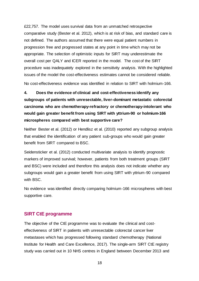£22,757. The model uses survival data from an unmatched retrospective comparative study (Bester et al. 2012), which is at risk of bias, and standard care is not defined. The authors assumed that there were equal patient numbers in progression free and progressed states at any point in time which may not be appropriate. The selection of optimistic inputs for SIRT may underestimate the overall cost per QALY and ICER reported in the model. The cost of the SIRT procedure was inadequately explored in the sensitivity analysis. With the highlighted issues of the model the cost-effectiveness estimates cannot be considered reliable.

No cost-effectiveness evidence was identified in relation to SIRT with holmium-166.

## **4. Does the evidence of clinical and cost-effectiveness identify any subgroups of patients with unresectable, liver-dominant metastatic colorectal carcinoma who are chemotherapy-refractory or chemotherapy-intolerant who would gain greater benefit from using SIRT with yttrium-90 or holmium-166 microspheres compared with best supportive care?**

Neither Bester et al. (2012) or Hendlisz et al. (2010) reported any subgroup analysis that enabled the identification of any patient sub-groups who would gain greater benefit from SIRT compared to BSC.

Seidensticker et al. (2012) conducted multivariate analysis to identify prognostic markers of improved survival; however, patients from both treatment groups (SIRT and BSC) were included and therefore this analysis does not indicate whether any subgroups would gain a greater benefit from using SIRT with yttrium-90 compared with BSC.

No evidence was identified directly comparing holmium-166 microspheres with best supportive care.

#### **SIRT CtE programme**

The objective of the CtE programme was to evaluate the clinical and costeffectiveness of SIRT in patients with unresectable colorectal cancer liver metastases which has progressed following standard chemotherapy (National Institute for Health and Care Excellence, 2017). The single-arm SIRT CtE registry study was carried out in 10 NHS centres in England between December 2013 and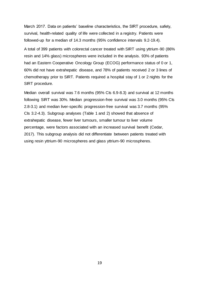March 2017. Data on patients' baseline characteristics, the SIRT procedure, safety, survival, health-related quality of life were collected in a registry. Patients were followed-up for a median of 14.3 months (95% confidence intervals 9.2-19.4).

A total of 399 patients with colorectal cancer treated with SIRT using yttrium-90 (86% resin and 14% glass) microspheres were included in the analysis. 93% of patients had an Eastern Cooperative Oncology Group (ECOG) performance status of 0 or 1, 60% did not have extrahepatic disease, and 78% of patients received 2 or 3 lines of chemotherapy prior to SIRT. Patients required a hospital stay of 1 or 2 nights for the SIRT procedure.

Median overall survival was 7.6 months (95% Cls 6.9-8.3) and survival at 12 months following SIRT was 30%. Median progression-free survival was 3.0 months (95% CIs 2.8-3.1) and median liver-specific progression-free survival was 3.7 months (95% CIs 3.2-4.3). Subgroup analyses (Table 1 and 2) showed that absence of extrahepatic disease, fewer liver tumours, smaller tumour to liver volume percentage, were factors associated with an increased survival benefit (Cedar, 2017). This subgroup analysis did not differentiate between patients treated with using resin yttrium-90 microspheres and glass yttrium-90 microspheres.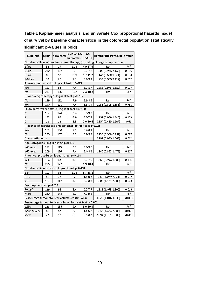## **Table 1 Kaplan-meier analysis and univariate Cox proportional hazards model of survival by baseline characteristics in the colorectal population (statistically significant p-values in bold)**

| Subgroup                                                                         |     | $ n$ (pts) $ n$ (events) | Median OS | ΟS           | Hazard ratio (95% Cls)   p-value                                              |         |
|----------------------------------------------------------------------------------|-----|--------------------------|-----------|--------------|-------------------------------------------------------------------------------|---------|
|                                                                                  |     |                          | in months | 95% CI       |                                                                               |         |
|                                                                                  |     |                          |           |              | Number of lines of previous chemotherapy (including biologics); log-rank test |         |
| 1 line                                                                           | 32  | 19                       | 11.3      | 4.9-17.6     | Ref                                                                           | Ref     |
| 2 lines                                                                          | 210 | 127                      | 7         | $6.2 - 7.8$  | 1.506 (0.926-2.448)                                                           | 0.099   |
| 3 lines                                                                          | 85  | 58                       | 89        | $6.7 - 11.2$ | 1.143 (0.680-1.921)                                                           | 0.614   |
| ≥4 lines                                                                         | 33  | 27                       | 7.3       | $5.1 - 9.4$  | 1.732 (0.959-3.127)                                                           | 0.069   |
| Primary tumour in situ; log-rank test p=0.079                                    |     |                          |           |              |                                                                               |         |
| Yes                                                                              | 117 | 82                       | 7.4       | $6.0 - 8.7$  | 1.282 (0.973-1.689)                                                           | 0.077   |
| No                                                                               | 217 | 136                      | 8.9       | $7.4 - 10.3$ | Ref                                                                           | Ref     |
| Prior biologic therapy 1; log-rank test p=0.783                                  |     |                          |           |              |                                                                               |         |
| No                                                                               | 189 | 112                      | 7.6       | $6.6 - 8.6$  | Ref                                                                           | Ref     |
| Yes                                                                              | 190 | 128                      | 7.4       | $6.5 - 8.4$  | 1.036 (0.803-1.338)                                                           | 0.783   |
| ECOG performance status; log-rank test p=0.180                                   |     |                          |           |              |                                                                               |         |
| 0                                                                                | 192 | 124                      | 8.4       | 6.9-9.8      | Ref                                                                           | Ref     |
| $\mathbf{1}$                                                                     | 162 | 96                       | 6.6       | 5.57.7       | 1.252 (0.956-1.640)                                                           | 0.103   |
| $\overline{2}$                                                                   | 13  | 12                       | 6.3       | $2.0 - 10.6$ | 0.854 (0.465-1.567)                                                           | 0.61    |
| Presence of extrahepatic metastases; log-rank test p=0.021                       |     |                          |           |              |                                                                               |         |
| Yes                                                                              | 151 | 100                      | 7.1       | $5.7 - 8.4$  | Ref                                                                           | Ref     |
| No                                                                               | 225 | 137                      | 8.1       | $6.9 - 9.2$  | 0.738 (0.568-0.957)                                                           | 0.022   |
| Age (continuous)                                                                 |     |                          |           |              | 0.997 (0.985-1.008)                                                           | 0.562   |
| Age (categories); log-rank test p=0.316                                          |     |                          |           |              |                                                                               |         |
| <65 years                                                                        | 172 | 113                      | 8.2       | $6.9 - 9.5$  | Ref                                                                           | Ref     |
| ≥65 years                                                                        | 206 | 126                      | 7.4       | $6.4 - 8.3$  | 1.140 (0.882-1.473)                                                           | 0.317   |
| Prior liver procedures; log-rank test p=0.114                                    |     |                          |           |              |                                                                               |         |
| Yes                                                                              | 104 | 63                       | 7.1       | $6.2 - 7.9$  | 1.262 (0.944-1.685)                                                           | 0.116   |
| No                                                                               | 275 | 177                      | 9.7       | 8.9-10.4     | Ref                                                                           | Ref     |
| Number of liver tumours; log-rank test p=0.008                                   |     |                          |           |              |                                                                               |         |
| $1 - 5$                                                                          | 107 | 58                       | 11.3      | $8.7 - 13.8$ | Ref                                                                           | Ref     |
| $6 - 10$                                                                         | 50  | 28                       | 6.7       | $3.8 - 9.5$  | 1.666 (1.059-2.621)                                                           | 0.027   |
| >10                                                                              | 167 | 117                      | 7.3       | $6.2 - 8.3$  | 1.608 (1.171-2.208)                                                           | 0.003   |
| Sex ; log-rank test p=0.012                                                      |     |                          |           |              |                                                                               |         |
| Female                                                                           | 129 | 96                       | 6.4       | $5.2 - 7.7$  | 1.389 (1.073-1.800)                                                           | 0.013   |
| Male                                                                             | 250 | 144                      | 8.2       | $7.2 - 9.2$  | Ref                                                                           | Ref     |
| Percentage tumour to liver volume (continuous)<br>1.023 (1.016-1.030)<br>$0.001$ |     |                          |           |              |                                                                               |         |
| Percentage tumour to liver volume; log rank test p<0.001                         |     |                          |           |              |                                                                               |         |
| ≤25%                                                                             | 226 | 135                      | 9.4       | $8.0 - 10.9$ | Ref                                                                           | Ref     |
| >25% to 50%                                                                      | 80  | 57                       | 5.3       | 4.4-6.2      | 1.955 (1.424-2.685)                                                           | <0.001  |
| >50%                                                                             | 22  | 17                       | 5.3       | $6.8 - 8.2$  | 2.994 (1.791-5.005)                                                           | < 0.001 |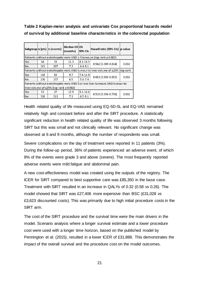**Table 2 Kaplan-meier analysis and univariate Cox proportional hazards model of survival by additional baseline characteristics in the colorectal population**

|                                                                              |                                                                                 | Subgroup n (pts) n (events) | <b>Median OSIOS</b><br>(months) | 95% CIs      | Hazard ratio (95% Cls)  p-value |       |
|------------------------------------------------------------------------------|---------------------------------------------------------------------------------|-----------------------------|---------------------------------|--------------|---------------------------------|-------|
| Patients without extrahepatic mets AND 1-5 tumours (log-rank p 0.002)        |                                                                                 |                             |                                 |              |                                 |       |
| Yes                                                                          | 64                                                                              | 33.                         | 11.3                            | $8.1 - 14.5$ | $0.562(0.389 - 0.814)$          | 0.002 |
| No                                                                           | 315                                                                             | 207                         | 7.3                             | $6.4 - 8.1$  |                                 |       |
|                                                                              | Patients without extrahepatic mets AND tumour to liver volume of ≤25% (log-rank |                             |                                 |              |                                 |       |
| Yes                                                                          | 143                                                                             | 83                          | 9.7                             | $7.4 - 11.9$ | $0.653(0.500-0.853)$            | 0.002 |
| No                                                                           | 236                                                                             | 157                         | 6.5                             | $5.6 - 7.4$  |                                 |       |
| Patients without extrahepatic mets AND 5 or less liver tumours AND tumour to |                                                                                 |                             |                                 |              |                                 |       |
| liver volume of ≤25% (log-rank p 0.002)                                      |                                                                                 |                             |                                 |              |                                 |       |
| Yes                                                                          | 53                                                                              | 27                          | 12.9                            | $9.1 - 16.6$ | $0.533(0.356-0.798)$            | 0.002 |
| No                                                                           | 326                                                                             | 213                         | 7.3                             | $6.5 - 8.1$  |                                 |       |

Health related quality of life measured using EQ-5D-5L and EQ-VAS remained relatively high and constant before and after the SIRT procedure. A statistically significant reduction in health related quality of life was observed 3 months following SIRT but this was small and not clinically relevant. No significant change was observed at 6 and 9 months, although the number of respondents was small.

Severe complications on the day of treatment were reported in 11 patients (3%). During the follow-up period, 36% of patients experienced an adverse event, of which 8% of the events were grade 3 and above (severe). The most frequently reported adverse events were mild fatigue and abdominal pain.

A new cost-effectiveness model was created using the outputs of the registry. The ICER for SIRT compared to best supportive care was £85,350 in the base case. Treatment with SIRT resulted in an increase in QALYs of 0.32 (0.58 vs 0.26). The model showed that SIRT was £27,406 more expensive than BSC (£31,028 vs £3,623 discounted costs). This was primarily due to high initial procedure costs in the SIRT arm.

The cost of the SIRT procedure and the survival time were the main drivers in the model. Scenario analysis where a longer survival estimate and a lower procedure cost were used with a longer time horizon, based on the published model by Pennington et al. (2015), resulted in a lower ICER of £31,888. This demonstrates the impact of the overall survival and the procedure cost on the model outcomes.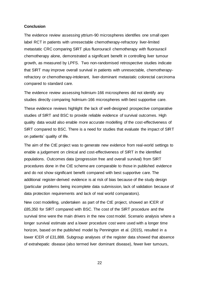#### **Conclusion**

The evidence review assessing yttrium-90 microspheres identifies one small open label RCT in patients with unresectable chemotherapy-refractory liver-limited metastatic CRC comparing SIRT plus fluorouracil chemotherapy with fluorouracil chemotherapy alone, demonstrated a significant benefit in controlling liver tumour growth, as measured by LPFS. Two non-randomised retrospective studies indicate that SIRT may improve overall survival in patients with unresectable, chemotherapyrefractory or chemotherapy-intolerant, liver-dominant metastatic colorectal carcinoma compared to standard care.

The evidence review assessing holmium-166 microspheres did not identify any studies directly comparing holmium-166 microspheres with best supportive care.

These evidence reviews highlight the lack of well-designed prospective comparative studies of SIRT and BSC to provide reliable evidence of survival outcomes. High quality data would also enable more accurate modelling of the cost-effectiveness of SIRT compared to BSC. There is a need for studies that evaluate the impact of SIRT on patients' quality of life.

The aim of the CtE project was to generate new evidence from real-world settings to enable a judgement on clinical and cost-effectiveness of SIRT in the identified populations. Outcomes data (progression free and overall survival) from SIRT procedures done in the CtE scheme are comparable to those in published evidence and do not show significant benefit compared with best supportive care. The additional register-derived evidence is at risk of bias because of the study design (particular problems being incomplete data submission, lack of validation because of data protection requirements and lack of real world comparators).

New cost modelling, undertaken as part of the CtE project, showed an ICER of £85,350 for SIRT compared with BSC. The cost of the SIRT procedure and the survival time were the main drivers in the new cost model. Scenario analysis where a longer survival estimate and a lower procedure cost were used with a longer time horizon, based on the published model by Pennington et al. (2015), resulted in a lower ICER of £31,888. Subgroup analyses of the register data showed that absence of extrahepatic disease (also termed liver dominant disease), fewer liver tumours,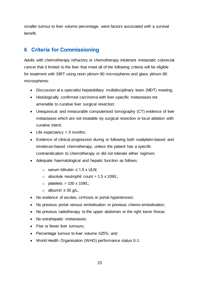smaller tumour to liver volume percentage, were factors associated with a survival benefit.

## <span id="page-22-0"></span>**6 Criteria for Commissioning**

Adults with chemotherapy refractory or chemotherapy intolerant metastatic colorectal cancer that it limited to the liver that meet all of the following criteria will be eligible for treatment with SIRT using resin yttrium-90 microspheres and glass yttrium-90 microspheres:

- Discussion at a specialist hepatobiliary multidisciplinary team (MDT) meeting;
- Histologically confirmed carcinoma with liver-specific metastases not amenable to curative liver surgical resection;
- Unequivocal and measurable computerised tomography (CT) evidence of liver metastases which are not treatable by surgical resection or local ablation with curative intent;
- Life expectancy  $> 3$  months;
- Evidence of clinical progression during or following both oxaliplatin-based and irinotecan-based chemotherapy, unless the patient has a specific contraindication to chemotherapy or did not tolerate either regimen;
- Adequate haematological and hepatic function as follows:
	- o serum bilirubin ≤ 1.5 x ULN;
	- $\circ$  absolute neutrophil count > 1.5 x 109/L;
	- $\circ$  platelets > 100 x 109/L;
	- o albumin ≥ 30 g/L;
- No evidence of ascites, cirrhosis or portal hypertension;
- No previous portal venous embolisation or previous chemo-embolisation;
- No previous radiotherapy to the upper abdomen or the right lower thorax;
- No extrahepatic metastases;
- Five or fewer liver tumours;
- Percentage tumour to liver volume ≤25%; and
- World Health Organisation (WHO) performance status 0-1.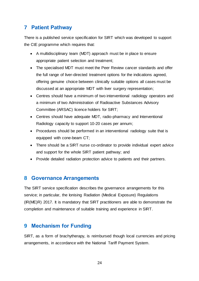## <span id="page-23-0"></span>**7 Patient Pathway**

There is a published service specification for SIRT which was developed to support the CtE programme which requires that:

- A multidisciplinary team (MDT) approach must be in place to ensure appropriate patient selection and treatment;
- The specialised MDT must meet the Peer Review cancer standards and offer the full range of liver-directed treatment options for the indications agreed, offering genuine choice between clinically suitable options all cases must be discussed at an appropriate MDT with liver surgery representation;
- Centres should have a minimum of two interventional radiology operators and a minimum of two Administration of Radioactive Substances Advisory Committee (ARSAC) licence holders for SIRT;
- Centres should have adequate MDT, radio-pharmacy and Interventional Radiology capacity to support 10-20 cases per annum;
- Procedures should be performed in an interventional radiology suite that is equipped with cone-beam CT;
- There should be a SIRT nurse co-ordinator to provide individual expert advice and support for the whole SIRT patient pathway; and
- Provide detailed radiation protection advice to patients and their partners.

## <span id="page-23-1"></span>**8 Governance Arrangements**

The SIRT service specification describes the governance arrangements for this service; in particular, the Ionising Radiation (Medical Exposure) Regulations (IR(ME)R) 2017. It is mandatory that SIRT practitioners are able to demonstrate the completion and maintenance of suitable training and experience in SIRT.

## <span id="page-23-2"></span>**9 Mechanism for Funding**

SIRT, as a form of brachytherapy, is reimbursed though local currencies and pricing arrangements, in accordance with the National Tariff Payment System.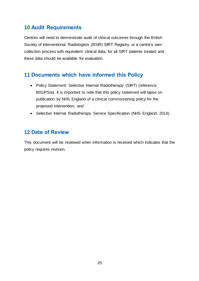## <span id="page-24-0"></span>**10 Audit Requirements**

Centres will need to demonstrate audit of clinical outcomes through the British Society of Interventional Radiologists (BSIR) SIRT Registry, or a centre's own collection process with equivalent clinical data, for all SIRT patients treated and these data should be available for evaluation.

## <span id="page-24-1"></span>**11 Documents which have informed this Policy**

- Policy Statement: Selective Internal Radiotherapy (SIRT) (reference: B01/PS/a). It is important to note that this policy statement will lapse on publication by NHS England of a clinical commissioning policy for the proposed intervention; and
- Selective Internal Radiotherapy Service Specification (NHS England, 2014).

## <span id="page-24-2"></span>**12 Date of Review**

This document will be reviewed when information is received which indicates that the policy requires revision.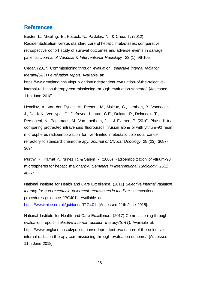## <span id="page-25-0"></span>**References**

Bester, L., Meteling, B., Pocock, N., Pavlakis, N., & Chua, T. (2012) Radioembolization versus standard care of hepatic metastases: comparative retrospective cohort study of survival outcomes and adverse events in salvage patients. *Journal of Vascular & Interventional Radiology*. 23 (1), 96-105.

Cedar. (2017) Commissioning through evaluation: *selective internal radiation therapy(SIRT) evaluation report.* Available at:

https://www.england.nhs.uk/publication/independent-evaluation-of-the-selectiveinternal-radiation-therapy-commissioning-through-evaluation-scheme/ [Accessed 11th June 2018].

Hendlisz, A., Van den Eynde, M., Peeters, M., Maleux, G., Lambert, B., Vannoote, J., De, K.K., Verslype, C., Defreyne, L., Van, C.E., Delatte, P., Delaunoit, T., Personeni, N., Paesmans, M., Van Laethem, J.L., & Flamen, P. (2010) Phase III trial comparing protracted intravenous fluorouracil infusion alone or with yttrium-90 resin microspheres radioembolization for liver-limited metastatic colorectal cancer refractory to standard chemotherapy. *Journal of Clinical Oncology.* 28 (23), 3687- 3694.

Murthy R., Kamat P., Nuñez R. & Salem R. (2008) Radioembolization of yttrium-90 microspheres for hepatic malignancy. *Seminars in Interventional Radiology.* 25(1), 48-57.

National Institute for Health and Care Excellence. (2011) *Selective internal radiation therapy for non-resectable colorectal metastases in the liver.* Interventional procedures guidance [IPG401]. Available at:

<https://www.nice.org.uk/guidance/IPG401> [Accessed 11th June 2018].

National Institute for Health and Care Excellence. (2017) Commissioning through evaluation report - *selective internal radiation therapy(SIRT).* Available at: https://www.england.nhs.uk/publication/independent-evaluation-of-the-selectiveinternal-radiation-therapy-commissioning-through-evaluation-scheme/ [Accessed 11th June 2018].